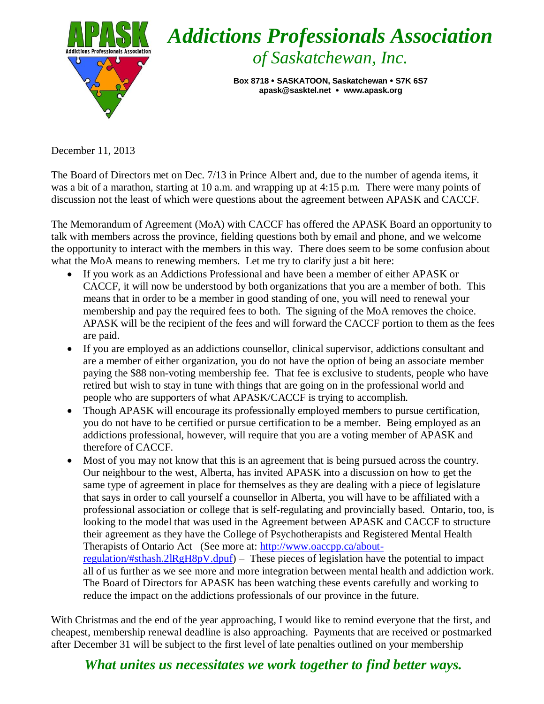

December 11, 2013

The Board of Directors met on Dec. 7/13 in Prince Albert and, due to the number of agenda items, it was a bit of a marathon, starting at 10 a.m. and wrapping up at 4:15 p.m. There were many points of discussion not the least of which were questions about the agreement between APASK and CACCF.

The Memorandum of Agreement (MoA) with CACCF has offered the APASK Board an opportunity to talk with members across the province, fielding questions both by email and phone, and we welcome the opportunity to interact with the members in this way. There does seem to be some confusion about what the MoA means to renewing members. Let me try to clarify just a bit here:

- If you work as an Addictions Professional and have been a member of either APASK or CACCF, it will now be understood by both organizations that you are a member of both. This means that in order to be a member in good standing of one, you will need to renewal your membership and pay the required fees to both. The signing of the MoA removes the choice. APASK will be the recipient of the fees and will forward the CACCF portion to them as the fees are paid.
- If you are employed as an addictions counsellor, clinical supervisor, addictions consultant and are a member of either organization, you do not have the option of being an associate member paying the \$88 non-voting membership fee. That fee is exclusive to students, people who have retired but wish to stay in tune with things that are going on in the professional world and people who are supporters of what APASK/CACCF is trying to accomplish.
- Though APASK will encourage its professionally employed members to pursue certification, you do not have to be certified or pursue certification to be a member. Being employed as an addictions professional, however, will require that you are a voting member of APASK and therefore of CACCF.
- Most of you may not know that this is an agreement that is being pursued across the country. Our neighbour to the west, Alberta, has invited APASK into a discussion on how to get the same type of agreement in place for themselves as they are dealing with a piece of legislature that says in order to call yourself a counsellor in Alberta, you will have to be affiliated with a professional association or college that is self-regulating and provincially based. Ontario, too, is looking to the model that was used in the Agreement between APASK and CACCF to structure their agreement as they have the College of Psychotherapists and Registered Mental Health Therapists of Ontario Act– (See more at: [http://www.oaccpp.ca/about](http://www.oaccpp.ca/about-regulation/#sthash.2lRgH8pV.dpuf)[regulation/#sthash.2lRgH8pV.dpuf\)](http://www.oaccpp.ca/about-regulation/#sthash.2lRgH8pV.dpuf) – These pieces of legislation have the potential to impact all of us further as we see more and more integration between mental health and addiction work. The Board of Directors for APASK has been watching these events carefully and working to reduce the impact on the addictions professionals of our province in the future.

With Christmas and the end of the year approaching, I would like to remind everyone that the first, and cheapest, membership renewal deadline is also approaching. Payments that are received or postmarked after December 31 will be subject to the first level of late penalties outlined on your membership

## *What unites us necessitates we work together to find better ways.*